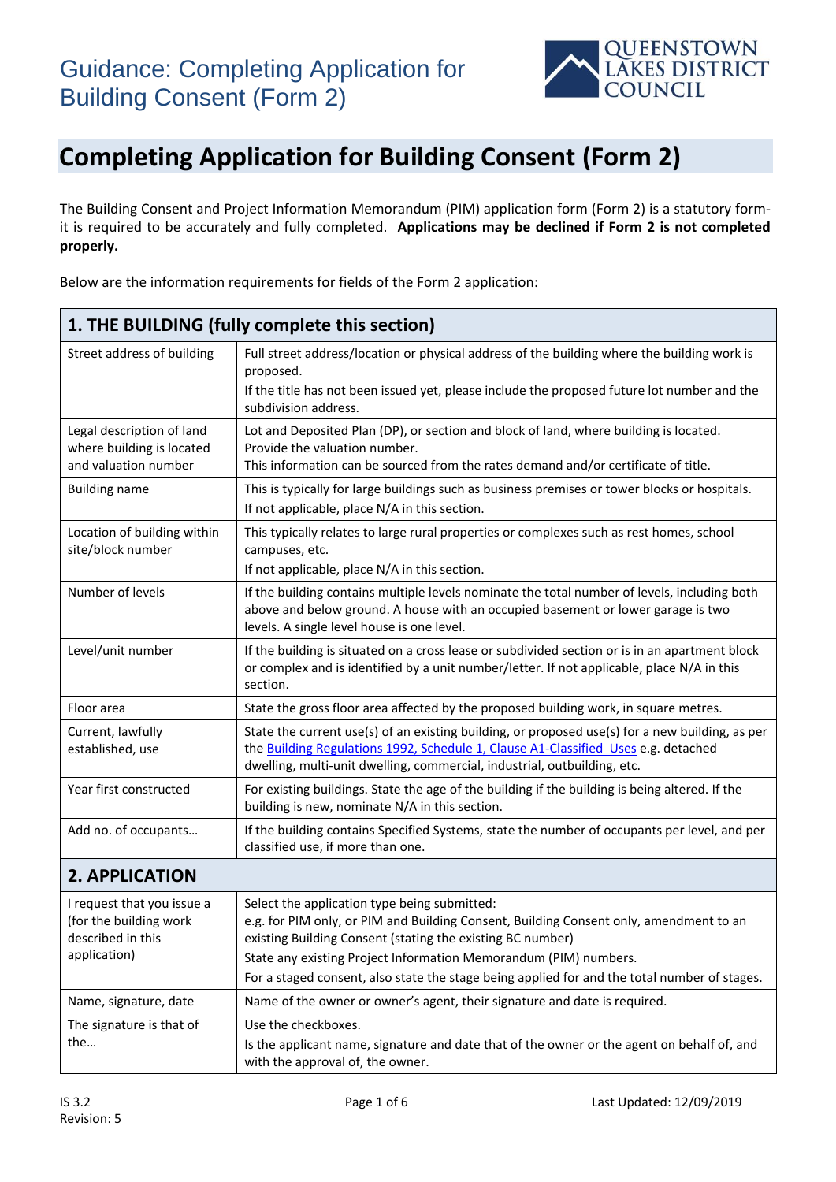

The Building Consent and Project Information Memorandum (PIM) application form (Form 2) is a statutory formit is required to be accurately and fully completed. **Applications may be declined if Form 2 is not completed properly.**

Below are the information requirements for fields of the Form 2 application:

| 1. THE BUILDING (fully complete this section)                                  |                                                                                                                                                                                                                                                                   |  |
|--------------------------------------------------------------------------------|-------------------------------------------------------------------------------------------------------------------------------------------------------------------------------------------------------------------------------------------------------------------|--|
| Street address of building                                                     | Full street address/location or physical address of the building where the building work is<br>proposed.<br>If the title has not been issued yet, please include the proposed future lot number and the<br>subdivision address.                                   |  |
| Legal description of land<br>where building is located<br>and valuation number | Lot and Deposited Plan (DP), or section and block of land, where building is located.<br>Provide the valuation number.<br>This information can be sourced from the rates demand and/or certificate of title.                                                      |  |
| <b>Building name</b>                                                           | This is typically for large buildings such as business premises or tower blocks or hospitals.<br>If not applicable, place N/A in this section.                                                                                                                    |  |
| Location of building within<br>site/block number                               | This typically relates to large rural properties or complexes such as rest homes, school<br>campuses, etc.<br>If not applicable, place N/A in this section.                                                                                                       |  |
| Number of levels                                                               | If the building contains multiple levels nominate the total number of levels, including both<br>above and below ground. A house with an occupied basement or lower garage is two<br>levels. A single level house is one level.                                    |  |
| Level/unit number                                                              | If the building is situated on a cross lease or subdivided section or is in an apartment block<br>or complex and is identified by a unit number/letter. If not applicable, place N/A in this<br>section.                                                          |  |
| Floor area                                                                     | State the gross floor area affected by the proposed building work, in square metres.                                                                                                                                                                              |  |
| Current, lawfully<br>established, use                                          | State the current use(s) of an existing building, or proposed use(s) for a new building, as per<br>the Building Regulations 1992, Schedule 1, Clause A1-Classified Uses e.g. detached<br>dwelling, multi-unit dwelling, commercial, industrial, outbuilding, etc. |  |
| Year first constructed                                                         | For existing buildings. State the age of the building if the building is being altered. If the<br>building is new, nominate N/A in this section.                                                                                                                  |  |
| Add no. of occupants                                                           | If the building contains Specified Systems, state the number of occupants per level, and per<br>classified use, if more than one.                                                                                                                                 |  |

#### **2. APPLICATION**

| I request that you issue a<br>(for the building work<br>described in this<br>application) | Select the application type being submitted:<br>e.g. for PIM only, or PIM and Building Consent, Building Consent only, amendment to an<br>existing Building Consent (stating the existing BC number)<br>State any existing Project Information Memorandum (PIM) numbers.<br>For a staged consent, also state the stage being applied for and the total number of stages. |
|-------------------------------------------------------------------------------------------|--------------------------------------------------------------------------------------------------------------------------------------------------------------------------------------------------------------------------------------------------------------------------------------------------------------------------------------------------------------------------|
| Name, signature, date                                                                     | Name of the owner or owner's agent, their signature and date is required.                                                                                                                                                                                                                                                                                                |
| The signature is that of<br>the                                                           | Use the checkboxes.<br>Is the applicant name, signature and date that of the owner or the agent on behalf of, and<br>with the approval of, the owner.                                                                                                                                                                                                                    |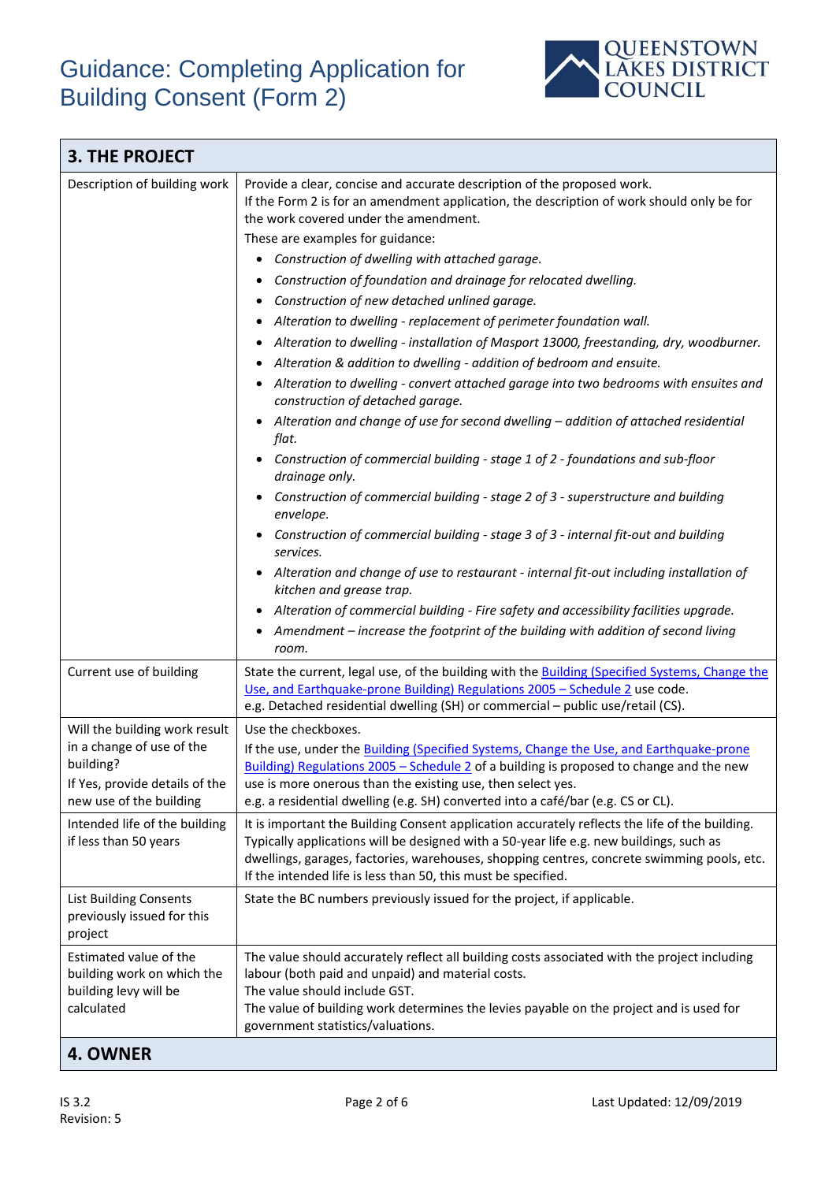

| <b>3. THE PROJECT</b>                                                                                                                                                                          |                                                                                                                                                                                                                                                                                                                                                                                                                                                                                                                                                                                                                                                                                                                                                                                                                                                                                                                                                                                                                                                                                                                                                                                                                                                                                                                                                                                                                                                                                                                               |  |
|------------------------------------------------------------------------------------------------------------------------------------------------------------------------------------------------|-------------------------------------------------------------------------------------------------------------------------------------------------------------------------------------------------------------------------------------------------------------------------------------------------------------------------------------------------------------------------------------------------------------------------------------------------------------------------------------------------------------------------------------------------------------------------------------------------------------------------------------------------------------------------------------------------------------------------------------------------------------------------------------------------------------------------------------------------------------------------------------------------------------------------------------------------------------------------------------------------------------------------------------------------------------------------------------------------------------------------------------------------------------------------------------------------------------------------------------------------------------------------------------------------------------------------------------------------------------------------------------------------------------------------------------------------------------------------------------------------------------------------------|--|
| Description of building work                                                                                                                                                                   | Provide a clear, concise and accurate description of the proposed work.<br>If the Form 2 is for an amendment application, the description of work should only be for<br>the work covered under the amendment.<br>These are examples for guidance:<br>Construction of dwelling with attached garage.<br>$\bullet$<br>Construction of foundation and drainage for relocated dwelling.<br>Construction of new detached unlined garage.<br>Alteration to dwelling - replacement of perimeter foundation wall.<br>Alteration to dwelling - installation of Masport 13000, freestanding, dry, woodburner.<br>Alteration & addition to dwelling - addition of bedroom and ensuite.<br>Alteration to dwelling - convert attached garage into two bedrooms with ensuites and<br>construction of detached garage.<br>Alteration and change of use for second dwelling - addition of attached residential<br>flat.<br>Construction of commercial building - stage 1 of 2 - foundations and sub-floor<br>drainage only.<br>Construction of commercial building - stage 2 of 3 - superstructure and building<br>envelope.<br>Construction of commercial building - stage 3 of 3 - internal fit-out and building<br>services.<br>Alteration and change of use to restaurant - internal fit-out including installation of<br>kitchen and grease trap.<br>Alteration of commercial building - Fire safety and accessibility facilities upgrade.<br>Amendment – increase the footprint of the building with addition of second living<br>room. |  |
| Current use of building                                                                                                                                                                        | State the current, legal use, of the building with the Building (Specified Systems, Change the<br>Use, and Earthquake-prone Building) Regulations 2005 - Schedule 2 use code.<br>e.g. Detached residential dwelling (SH) or commercial - public use/retail (CS).                                                                                                                                                                                                                                                                                                                                                                                                                                                                                                                                                                                                                                                                                                                                                                                                                                                                                                                                                                                                                                                                                                                                                                                                                                                              |  |
| Will the building work result<br>in a change of use of the<br>building?<br>If Yes, provide details of the<br>new use of the building<br>Intended life of the building<br>if less than 50 years | Use the checkboxes.<br>If the use, under the Building (Specified Systems, Change the Use, and Earthquake-prone<br>Building) Regulations $2005$ - Schedule 2 of a building is proposed to change and the new<br>use is more onerous than the existing use, then select yes.<br>e.g. a residential dwelling (e.g. SH) converted into a café/bar (e.g. CS or CL).<br>It is important the Building Consent application accurately reflects the life of the building.<br>Typically applications will be designed with a 50-year life e.g. new buildings, such as<br>dwellings, garages, factories, warehouses, shopping centres, concrete swimming pools, etc.<br>If the intended life is less than 50, this must be specified.                                                                                                                                                                                                                                                                                                                                                                                                                                                                                                                                                                                                                                                                                                                                                                                                    |  |
| <b>List Building Consents</b><br>previously issued for this<br>project                                                                                                                         | State the BC numbers previously issued for the project, if applicable.                                                                                                                                                                                                                                                                                                                                                                                                                                                                                                                                                                                                                                                                                                                                                                                                                                                                                                                                                                                                                                                                                                                                                                                                                                                                                                                                                                                                                                                        |  |
| Estimated value of the<br>building work on which the<br>building levy will be<br>calculated                                                                                                    | The value should accurately reflect all building costs associated with the project including<br>labour (both paid and unpaid) and material costs.<br>The value should include GST.<br>The value of building work determines the levies payable on the project and is used for<br>government statistics/valuations.                                                                                                                                                                                                                                                                                                                                                                                                                                                                                                                                                                                                                                                                                                                                                                                                                                                                                                                                                                                                                                                                                                                                                                                                            |  |

#### **4. OWNER**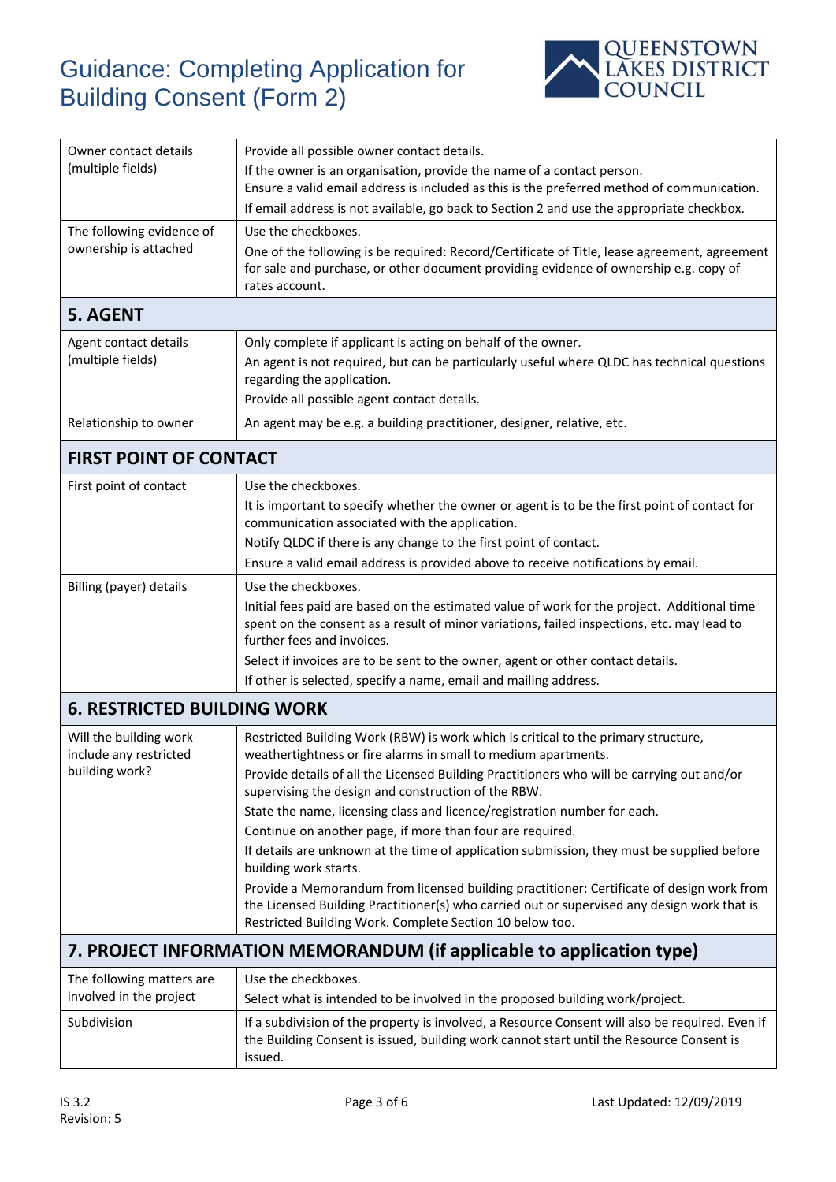

| Owner contact details<br>(multiple fields)           | Provide all possible owner contact details.<br>If the owner is an organisation, provide the name of a contact person.<br>Ensure a valid email address is included as this is the preferred method of communication.                                  |  |
|------------------------------------------------------|------------------------------------------------------------------------------------------------------------------------------------------------------------------------------------------------------------------------------------------------------|--|
|                                                      | If email address is not available, go back to Section 2 and use the appropriate checkbox.                                                                                                                                                            |  |
| The following evidence of<br>ownership is attached   | Use the checkboxes.<br>One of the following is be required: Record/Certificate of Title, lease agreement, agreement<br>for sale and purchase, or other document providing evidence of ownership e.g. copy of<br>rates account.                       |  |
| <b>5. AGENT</b>                                      |                                                                                                                                                                                                                                                      |  |
| Agent contact details<br>(multiple fields)           | Only complete if applicant is acting on behalf of the owner.<br>An agent is not required, but can be particularly useful where QLDC has technical questions<br>regarding the application.<br>Provide all possible agent contact details.             |  |
| Relationship to owner                                | An agent may be e.g. a building practitioner, designer, relative, etc.                                                                                                                                                                               |  |
| <b>FIRST POINT OF CONTACT</b>                        |                                                                                                                                                                                                                                                      |  |
| First point of contact                               | Use the checkboxes.                                                                                                                                                                                                                                  |  |
|                                                      | It is important to specify whether the owner or agent is to be the first point of contact for<br>communication associated with the application.                                                                                                      |  |
|                                                      | Notify QLDC if there is any change to the first point of contact.                                                                                                                                                                                    |  |
|                                                      | Ensure a valid email address is provided above to receive notifications by email.                                                                                                                                                                    |  |
| Billing (payer) details                              | Use the checkboxes.<br>Initial fees paid are based on the estimated value of work for the project. Additional time<br>spent on the consent as a result of minor variations, failed inspections, etc. may lead to<br>further fees and invoices.       |  |
|                                                      | Select if invoices are to be sent to the owner, agent or other contact details.                                                                                                                                                                      |  |
|                                                      | If other is selected, specify a name, email and mailing address.                                                                                                                                                                                     |  |
| <b>6. RESTRICTED BUILDING WORK</b>                   |                                                                                                                                                                                                                                                      |  |
| Will the building work<br>include any restricted     | Restricted Building Work (RBW) is work which is critical to the primary structure,<br>weathertightness or fire alarms in small to medium apartments.                                                                                                 |  |
| building work?                                       | Provide details of all the Licensed Building Practitioners who will be carrying out and/or<br>supervising the design and construction of the RBW.                                                                                                    |  |
|                                                      | State the name, licensing class and licence/registration number for each.                                                                                                                                                                            |  |
|                                                      | Continue on another page, if more than four are required.                                                                                                                                                                                            |  |
|                                                      | If details are unknown at the time of application submission, they must be supplied before<br>building work starts.                                                                                                                                  |  |
|                                                      | Provide a Memorandum from licensed building practitioner: Certificate of design work from<br>the Licensed Building Practitioner(s) who carried out or supervised any design work that is<br>Restricted Building Work. Complete Section 10 below too. |  |
|                                                      | 7. PROJECT INFORMATION MEMORANDUM (if applicable to application type)                                                                                                                                                                                |  |
| The following matters are<br>involved in the project | Use the checkboxes.<br>Select what is intended to be involved in the proposed building work/project.                                                                                                                                                 |  |
| Subdivision                                          | If a subdivision of the property is involved, a Resource Consent will also be required. Even if<br>the Building Consent is issued, building work cannot start until the Resource Consent is<br>issued.                                               |  |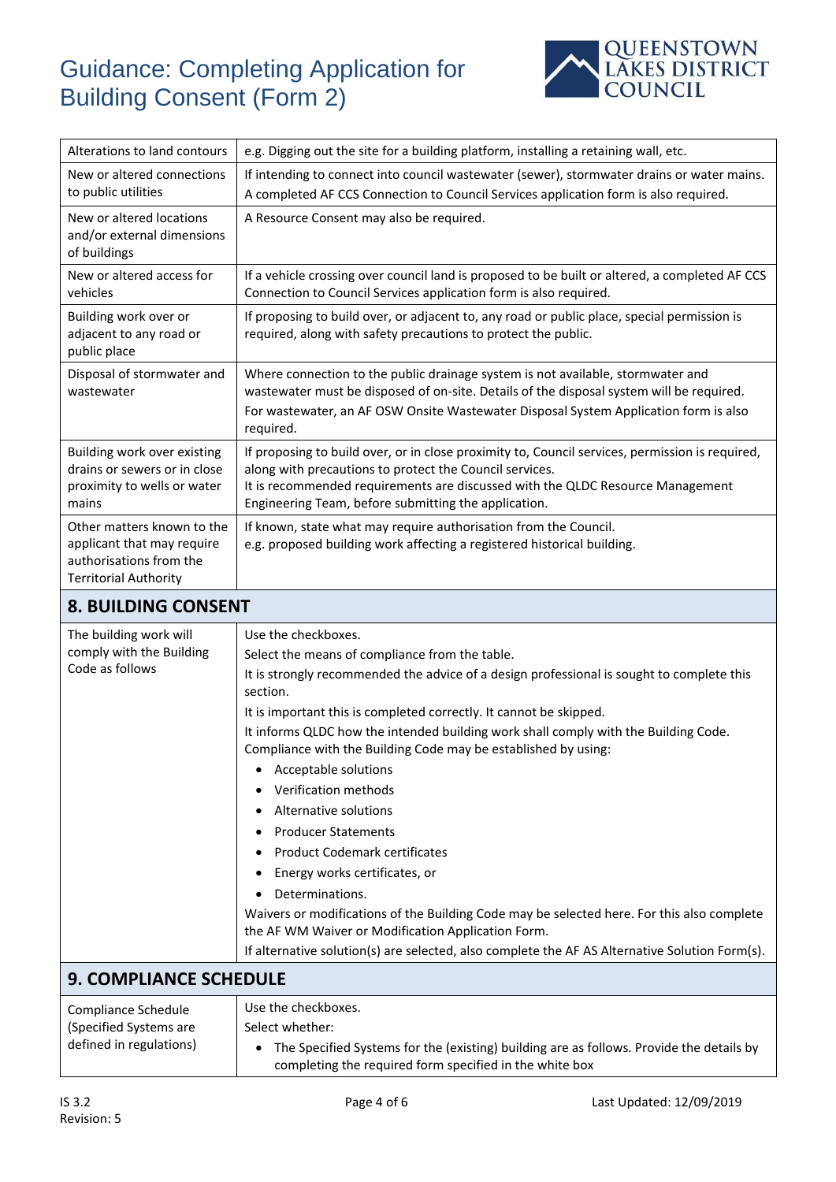

| Alterations to land contours                                                                                        | e.g. Digging out the site for a building platform, installing a retaining wall, etc.                                                                                                                                                                                                                 |  |
|---------------------------------------------------------------------------------------------------------------------|------------------------------------------------------------------------------------------------------------------------------------------------------------------------------------------------------------------------------------------------------------------------------------------------------|--|
| New or altered connections<br>to public utilities                                                                   | If intending to connect into council wastewater (sewer), stormwater drains or water mains.<br>A completed AF CCS Connection to Council Services application form is also required.                                                                                                                   |  |
| New or altered locations<br>and/or external dimensions<br>of buildings                                              | A Resource Consent may also be required.                                                                                                                                                                                                                                                             |  |
| New or altered access for<br>vehicles                                                                               | If a vehicle crossing over council land is proposed to be built or altered, a completed AF CCS<br>Connection to Council Services application form is also required.                                                                                                                                  |  |
| Building work over or<br>adjacent to any road or<br>public place                                                    | If proposing to build over, or adjacent to, any road or public place, special permission is<br>required, along with safety precautions to protect the public.                                                                                                                                        |  |
| Disposal of stormwater and<br>wastewater                                                                            | Where connection to the public drainage system is not available, stormwater and<br>wastewater must be disposed of on-site. Details of the disposal system will be required.<br>For wastewater, an AF OSW Onsite Wastewater Disposal System Application form is also<br>required.                     |  |
| Building work over existing<br>drains or sewers or in close<br>proximity to wells or water<br>mains                 | If proposing to build over, or in close proximity to, Council services, permission is required,<br>along with precautions to protect the Council services.<br>It is recommended requirements are discussed with the QLDC Resource Management<br>Engineering Team, before submitting the application. |  |
| Other matters known to the<br>applicant that may require<br>authorisations from the<br><b>Territorial Authority</b> | If known, state what may require authorisation from the Council.<br>e.g. proposed building work affecting a registered historical building.                                                                                                                                                          |  |
|                                                                                                                     |                                                                                                                                                                                                                                                                                                      |  |

#### **8. BUILDING CONSENT**

| The building work will                                                   | Use the checkboxes.                                                                                                                                   |
|--------------------------------------------------------------------------|-------------------------------------------------------------------------------------------------------------------------------------------------------|
| comply with the Building<br>Code as follows                              | Select the means of compliance from the table.                                                                                                        |
|                                                                          | It is strongly recommended the advice of a design professional is sought to complete this<br>section.                                                 |
|                                                                          | It is important this is completed correctly. It cannot be skipped.                                                                                    |
|                                                                          | It informs QLDC how the intended building work shall comply with the Building Code.<br>Compliance with the Building Code may be established by using: |
|                                                                          | Acceptable solutions                                                                                                                                  |
|                                                                          | Verification methods                                                                                                                                  |
|                                                                          | Alternative solutions                                                                                                                                 |
|                                                                          | <b>Producer Statements</b>                                                                                                                            |
|                                                                          | <b>Product Codemark certificates</b>                                                                                                                  |
|                                                                          | Energy works certificates, or                                                                                                                         |
|                                                                          | Determinations.                                                                                                                                       |
|                                                                          | Waivers or modifications of the Building Code may be selected here. For this also complete<br>the AF WM Waiver or Modification Application Form.      |
|                                                                          | If alternative solution(s) are selected, also complete the AF AS Alternative Solution Form(s).                                                        |
| <b>9. COMPLIANCE SCHEDULE</b>                                            |                                                                                                                                                       |
| Compliance Schedule<br>(Specified Systems are<br>defined in regulations) | Use the checkboxes.                                                                                                                                   |
|                                                                          | Select whether:                                                                                                                                       |
|                                                                          | The Specified Systems for the (existing) building are as follows. Provide the details by<br>completing the required form specified in the white box   |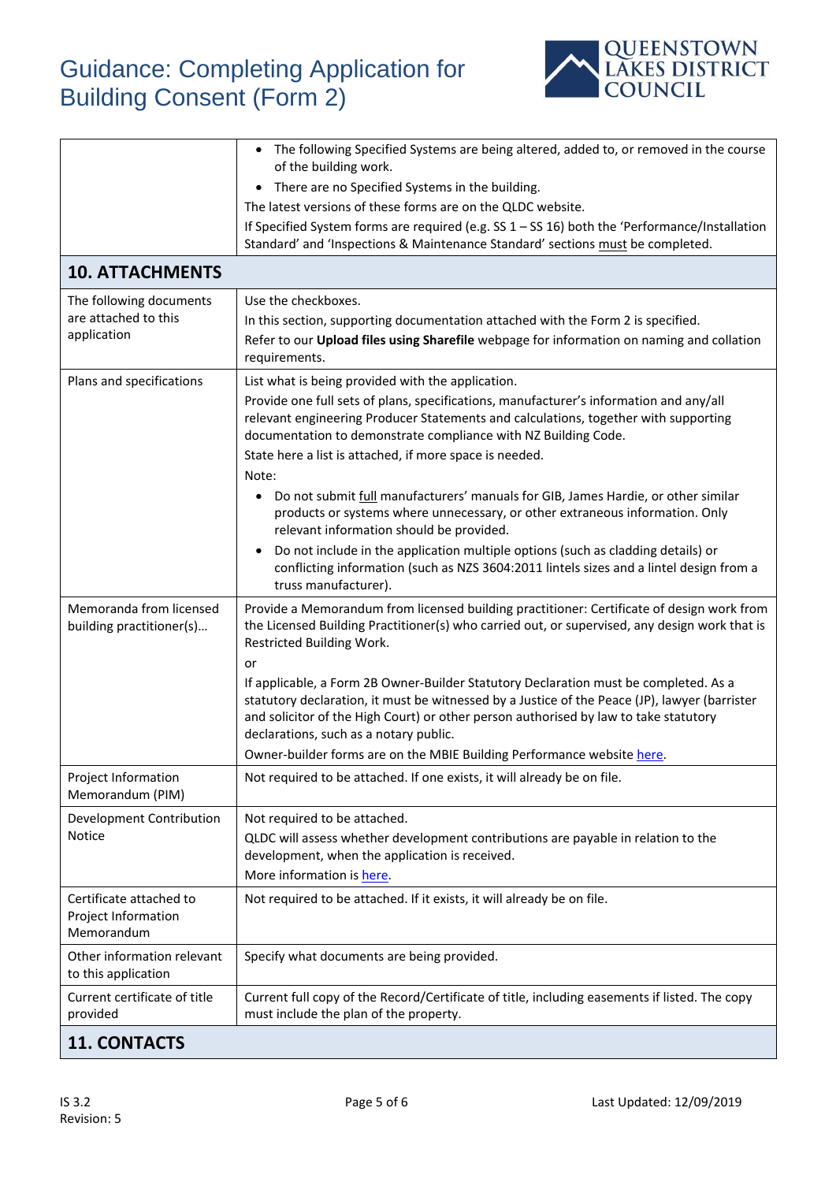

|                                                              | The following Specified Systems are being altered, added to, or removed in the course<br>$\bullet$<br>of the building work.                                                                                                                                                                                             |
|--------------------------------------------------------------|-------------------------------------------------------------------------------------------------------------------------------------------------------------------------------------------------------------------------------------------------------------------------------------------------------------------------|
|                                                              | • There are no Specified Systems in the building.                                                                                                                                                                                                                                                                       |
|                                                              | The latest versions of these forms are on the QLDC website.                                                                                                                                                                                                                                                             |
|                                                              | If Specified System forms are required (e.g. SS $1 -$ SS 16) both the 'Performance/Installation                                                                                                                                                                                                                         |
|                                                              | Standard' and 'Inspections & Maintenance Standard' sections must be completed.                                                                                                                                                                                                                                          |
| <b>10. ATTACHMENTS</b>                                       |                                                                                                                                                                                                                                                                                                                         |
| The following documents                                      | Use the checkboxes.                                                                                                                                                                                                                                                                                                     |
| are attached to this                                         | In this section, supporting documentation attached with the Form 2 is specified.                                                                                                                                                                                                                                        |
| application                                                  | Refer to our Upload files using Sharefile webpage for information on naming and collation<br>requirements.                                                                                                                                                                                                              |
| Plans and specifications                                     | List what is being provided with the application.                                                                                                                                                                                                                                                                       |
|                                                              | Provide one full sets of plans, specifications, manufacturer's information and any/all<br>relevant engineering Producer Statements and calculations, together with supporting<br>documentation to demonstrate compliance with NZ Building Code.                                                                         |
|                                                              | State here a list is attached, if more space is needed.<br>Note:                                                                                                                                                                                                                                                        |
|                                                              | Do not submit full manufacturers' manuals for GIB, James Hardie, or other similar<br>products or systems where unnecessary, or other extraneous information. Only<br>relevant information should be provided.                                                                                                           |
|                                                              | Do not include in the application multiple options (such as cladding details) or<br>$\bullet$<br>conflicting information (such as NZS 3604:2011 lintels sizes and a lintel design from a<br>truss manufacturer).                                                                                                        |
| Memoranda from licensed<br>building practitioner(s)          | Provide a Memorandum from licensed building practitioner: Certificate of design work from<br>the Licensed Building Practitioner(s) who carried out, or supervised, any design work that is<br>Restricted Building Work.<br>or                                                                                           |
|                                                              | If applicable, a Form 2B Owner-Builder Statutory Declaration must be completed. As a<br>statutory declaration, it must be witnessed by a Justice of the Peace (JP), lawyer (barrister<br>and solicitor of the High Court) or other person authorised by law to take statutory<br>declarations, such as a notary public. |
|                                                              | Owner-builder forms are on the MBIE Building Performance website here.                                                                                                                                                                                                                                                  |
| Project Information<br>Memorandum (PIM)                      | Not required to be attached. If one exists, it will already be on file.                                                                                                                                                                                                                                                 |
| Development Contribution                                     | Not required to be attached.                                                                                                                                                                                                                                                                                            |
| Notice                                                       | QLDC will assess whether development contributions are payable in relation to the                                                                                                                                                                                                                                       |
|                                                              | development, when the application is received.                                                                                                                                                                                                                                                                          |
|                                                              | More information is here.                                                                                                                                                                                                                                                                                               |
| Certificate attached to<br>Project Information<br>Memorandum | Not required to be attached. If it exists, it will already be on file.                                                                                                                                                                                                                                                  |
| Other information relevant<br>to this application            | Specify what documents are being provided.                                                                                                                                                                                                                                                                              |
| Current certificate of title<br>provided                     | Current full copy of the Record/Certificate of title, including easements if listed. The copy<br>must include the plan of the property.                                                                                                                                                                                 |
| <b>11. CONTACTS</b>                                          |                                                                                                                                                                                                                                                                                                                         |